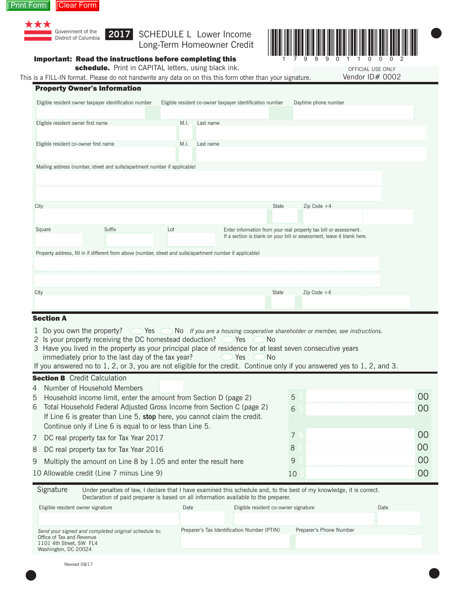



Long-Term Homeowner Credit



# Important: Read the instructions before completing this

schedule. Print in CAPITAL letters, using black ink.

This is a FILL-IN format. Please do not handwrite any data on on this this form other than your signature.

OFFICIAL USE ONLY OFFICIAL USE ONLY Vendor ID# 0002

 $\bullet$ 

|                                       | <b>Property Owner's Information</b>                                                                         |      |           |                                                           |       |                                                                                                                                             |  |
|---------------------------------------|-------------------------------------------------------------------------------------------------------------|------|-----------|-----------------------------------------------------------|-------|---------------------------------------------------------------------------------------------------------------------------------------------|--|
|                                       | Eligible resident owner taxpayer identification number                                                      |      |           | Eligible resident co-owner taxpayer identification number |       | Daytime phone number                                                                                                                        |  |
| Eligible resident owner first name    |                                                                                                             | M.I. | Last name |                                                           |       |                                                                                                                                             |  |
| Eligible resident co-owner first name |                                                                                                             | M.I. | Last name |                                                           |       |                                                                                                                                             |  |
|                                       |                                                                                                             |      |           |                                                           |       |                                                                                                                                             |  |
|                                       | Mailing address (number, street and suite/apartment number if applicable)                                   |      |           |                                                           |       |                                                                                                                                             |  |
|                                       |                                                                                                             |      |           |                                                           |       |                                                                                                                                             |  |
| City                                  |                                                                                                             |      |           |                                                           | State | Zip Code $+4$                                                                                                                               |  |
|                                       |                                                                                                             |      |           |                                                           |       |                                                                                                                                             |  |
| Square                                | <b>Suffix</b>                                                                                               | Lot  |           |                                                           |       | Enter information from your real property tax bill or assessment.<br>If a section is blank on your bill or assessment, leave it blank here. |  |
|                                       | Property address, fill in if different from above (number, street and suite/apartment number if applicable) |      |           |                                                           |       |                                                                                                                                             |  |
|                                       |                                                                                                             |      |           |                                                           |       |                                                                                                                                             |  |
|                                       |                                                                                                             |      |           |                                                           |       |                                                                                                                                             |  |
| City                                  |                                                                                                             |      |           |                                                           | State | Zip Code $+4$                                                                                                                               |  |
|                                       |                                                                                                             |      |           |                                                           |       |                                                                                                                                             |  |

# **Section A**

- 1 Do you own the property?  $\bigcirc$  Yes  $\bigcirc$  No *If you are a housing cooperative shareholder or member, see instructions.*
- 2 Is your property receiving the DC homestead deduction?  $\bigcirc$  Yes  $\bigcirc$  No
- 3 Have you lived in the property as your principal place of residence for at least seven consecutive years immediately prior to the last day of the tax year?  $\bullet$  Yes  $\bullet$  No
- If you answered no to 1, 2, or 3, you are not eligible for the credit. Continue only if you answered yes to 1, 2, and 3.

# **Section B** Credit Calculation

4 Number of Household Members

| 5 Household income limit, enter the amount from Section D (page 2)        | 5  | 00  |
|---------------------------------------------------------------------------|----|-----|
| 6 Total Household Federal Adjusted Gross Income from Section C (page 2)   | 6  | 00  |
| If Line 6 is greater than Line 5, stop here, you cannot claim the credit. |    |     |
| Continue only if Line 6 is equal to or less than Line 5.                  |    |     |
| 7 DC real property tax for Tax Year 2017                                  |    | 00  |
| 8 DC real property tax for Tax Year 2016                                  | 8  | 00  |
| 9 Multiply the amount on Line 8 by 1.05 and enter the result here         | 9  | -00 |
| 10 Allowable credit (Line 7 minus Line 9)                                 | 10 | 00  |

| Signature | Under penalties of law, I declare that I have examined this schedule and, to the best of my knowledge, it is correct. |
|-----------|-----------------------------------------------------------------------------------------------------------------------|
|           | Declaration of paid preparer is based on all information available to the preparer.                                   |

| Eligible resident owner signature                    | Date | Eligible resident co-owner signature        |                         | Date |
|------------------------------------------------------|------|---------------------------------------------|-------------------------|------|
|                                                      |      |                                             |                         |      |
| Send your signed and completed original schedule to: |      | Preparer's Tax Identification Number (PTIN) | Preparer's Phone Number |      |
| Office of Tax and Revenue<br>1101 4th Street, SW FL4 |      |                                             |                         |      |
| Washington, DC 20024                                 |      |                                             |                         |      |